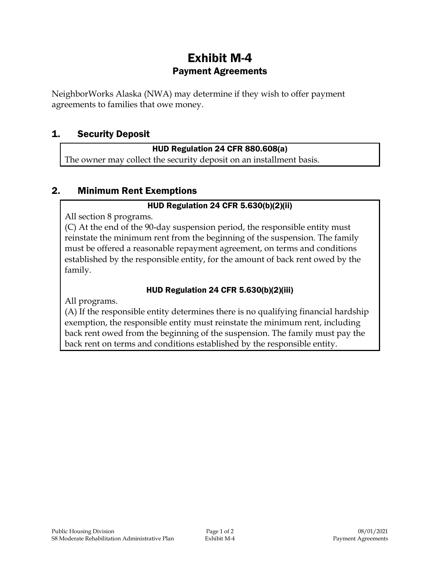# Exhibit M-4 Payment Agreements

NeighborWorks Alaska (NWA) may determine if they wish to offer payment agreements to families that owe money.

# 1. Security Deposit

#### HUD Regulation 24 CFR 880.608(a)

The owner may collect the security deposit on an installment basis.

# 2. Minimum Rent Exemptions

## HUD Regulation 24 CFR 5.630(b)(2)(ii)

All section 8 programs.

(C) At the end of the 90-day suspension period, the responsible entity must reinstate the minimum rent from the beginning of the suspension. The family must be offered a reasonable repayment agreement, on terms and conditions established by the responsible entity, for the amount of back rent owed by the family.

## HUD Regulation 24 CFR 5.630(b)(2)(iii)

All programs.

(A) If the responsible entity determines there is no qualifying financial hardship exemption, the responsible entity must reinstate the minimum rent, including back rent owed from the beginning of the suspension. The family must pay the back rent on terms and conditions established by the responsible entity.